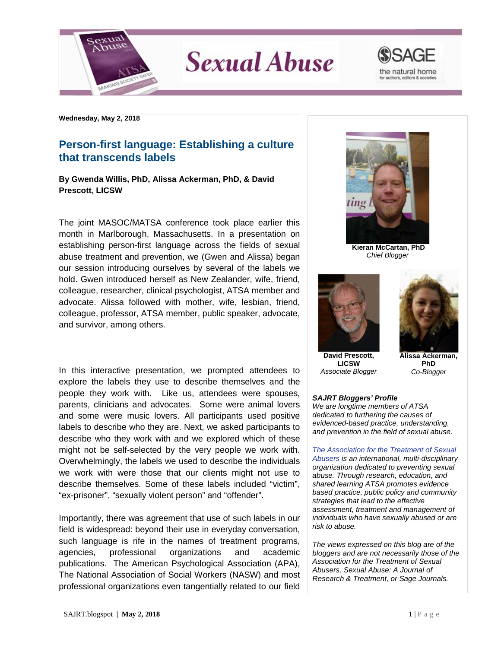

**Sexual Abuse** 



**Wednesday, May 2, 2018**

## **Person-first language: Establishing a culture that transcends labels**

## **By Gwenda Willis, PhD, Alissa Ackerman, PhD, & David Prescott, LICSW**

The joint MASOC/MATSA conference took place earlier this month in Marlborough, Massachusetts. In a presentation on establishing person-first language across the fields of sexual abuse treatment and prevention, we (Gwen and Alissa) began our session introducing ourselves by several of the labels we hold. Gwen introduced herself as New Zealander, wife, friend, colleague, researcher, clinical psychologist, ATSA member and advocate. Alissa followed with mother, wife, lesbian, friend, colleague, professor, ATSA member, public speaker, advocate, and survivor, among others.

In this interactive presentation, we prompted attendees to explore the labels they use to describe themselves and the people they work with. Like us, attendees were spouses, parents, clinicians and advocates. Some were animal lovers and some were music lovers. All participants used positive labels to describe who they are. Next, we asked participants to describe who they work with and we explored which of these might not be self-selected by the very people we work with. Overwhelmingly, the labels we used to describe the individuals we work with were those that our clients might not use to describe themselves. Some of these labels included "victim", "ex-prisoner", "sexually violent person" and "offender".

Importantly, there was agreement that use of such labels in our field is widespread: beyond their use in everyday conversation, such language is rife in the names of treatment programs, agencies, professional organizations and academic publications. The American Psychological Association (APA), The National Association of Social Workers (NASW) and most professional organizations even tangentially related to our field



**Kieran McCartan, PhD** *Chief Blogger*



**David Prescott, LICSW** *Associate Blogger*



**Alissa Ackerman, PhD** *Co-Blogger*

## *SAJRT Bloggers' Profile*

*We are longtime members of ATSA dedicated to furthering the causes of evidenced-based practice, understanding, and prevention in the field of sexual abuse.*

*[The Association for the Treatment of Sexual](http://atsa.com/)  [Abusers](http://atsa.com/) is an international, multi-disciplinary organization dedicated to preventing sexual abuse. Through research, education, and shared learning ATSA promotes evidence based practice, public policy and community strategies that lead to the effective assessment, treatment and management of individuals who have sexually abused or are risk to abuse.* 

*The views expressed on this blog are of the bloggers and are not necessarily those of the Association for the Treatment of Sexual Abusers, Sexual Abuse: A Journal of Research & Treatment, or Sage Journals.*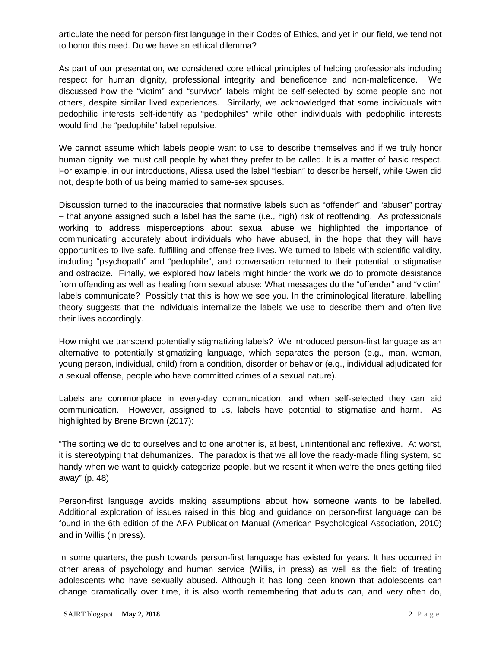articulate the need for person-first language in their Codes of Ethics, and yet in our field, we tend not to honor this need. Do we have an ethical dilemma?

As part of our presentation, we considered core ethical principles of helping professionals including respect for human dignity, professional integrity and beneficence and non-maleficence. discussed how the "victim" and "survivor" labels might be self-selected by some people and not others, despite similar lived experiences. Similarly, we acknowledged that some individuals with pedophilic interests self-identify as "pedophiles" while other individuals with pedophilic interests would find the "pedophile" label repulsive.

We cannot assume which labels people want to use to describe themselves and if we truly honor human dignity, we must call people by what they prefer to be called. It is a matter of basic respect. For example, in our introductions, Alissa used the label "lesbian" to describe herself, while Gwen did not, despite both of us being married to same-sex spouses.

Discussion turned to the inaccuracies that normative labels such as "offender" and "abuser" portray – that anyone assigned such a label has the same (i.e., high) risk of reoffending. As professionals working to address misperceptions about sexual abuse we highlighted the importance of communicating accurately about individuals who have abused, in the hope that they will have opportunities to live safe, fulfilling and offense-free lives. We turned to labels with scientific validity, including "psychopath" and "pedophile", and conversation returned to their potential to stigmatise and ostracize. Finally, we explored how labels might hinder the work we do to promote desistance from offending as well as healing from sexual abuse: What messages do the "offender" and "victim" labels communicate? Possibly that this is how we see you. In the criminological literature, labelling theory suggests that the individuals internalize the labels we use to describe them and often live their lives accordingly.

How might we transcend potentially stigmatizing labels? We introduced person-first language as an alternative to potentially stigmatizing language, which separates the person (e.g., man, woman, young person, individual, child) from a condition, disorder or behavior (e.g., individual adjudicated for a sexual offense, people who have committed crimes of a sexual nature).

Labels are commonplace in every-day communication, and when self-selected they can aid communication. However, assigned to us, labels have potential to stigmatise and harm. As highlighted by Brene Brown (2017):

"The sorting we do to ourselves and to one another is, at best, unintentional and reflexive. At worst, it is stereotyping that dehumanizes. The paradox is that we all love the ready-made filing system, so handy when we want to quickly categorize people, but we resent it when we're the ones getting filed away" (p. 48)

Person-first language avoids making assumptions about how someone wants to be labelled. Additional exploration of issues raised in this blog and guidance on person-first language can be found in the 6th edition of the APA Publication Manual (American Psychological Association, 2010) and in Willis (in press).

In some quarters, the push towards person-first language has existed for years. It has occurred in other areas of psychology and human service (Willis, in press) as well as the field of treating adolescents who have sexually abused. Although it has long been known that adolescents can change dramatically over time, it is also worth remembering that adults can, and very often do,